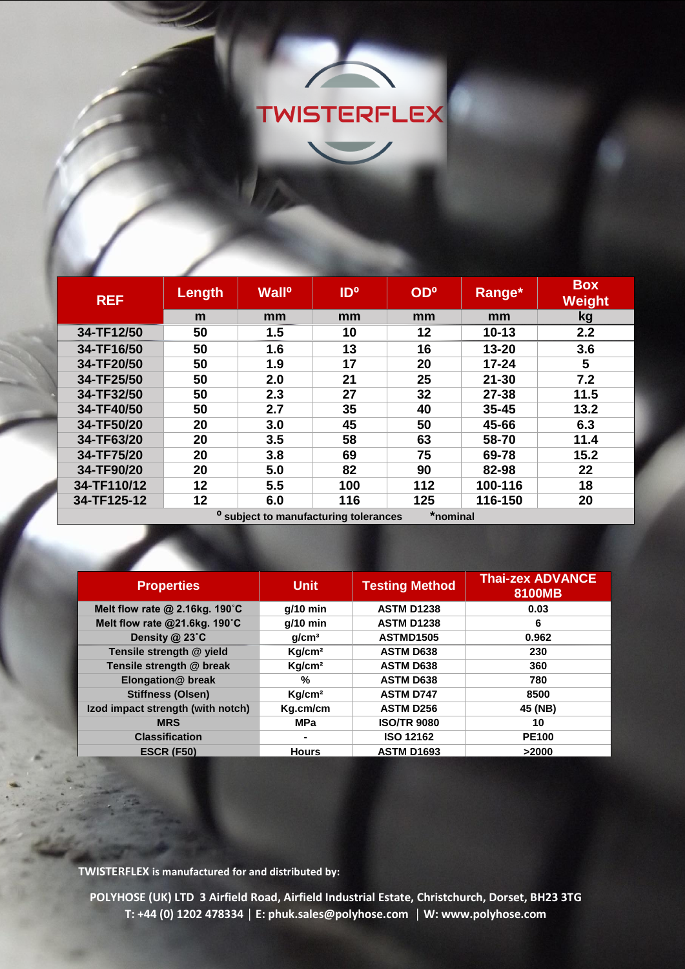

| <b>REF</b>  | <b>Length</b> | <b>Wall<sup>o</sup></b> | <b>ID</b> <sup>o</sup>                                                                                                                                                                                                         | OD <sup>o</sup> | Range*    | <b>Box</b><br><b>Weight</b> |
|-------------|---------------|-------------------------|--------------------------------------------------------------------------------------------------------------------------------------------------------------------------------------------------------------------------------|-----------------|-----------|-----------------------------|
|             | m             | mm                      | mm                                                                                                                                                                                                                             | mm              | mm        | kg                          |
| 34-TF12/50  | 50            | 1.5                     | 10                                                                                                                                                                                                                             | 12              | $10 - 13$ | 2.2                         |
| 34-TF16/50  | 50            | 1.6                     | 13                                                                                                                                                                                                                             | 16              | 13-20     | 3.6                         |
| 34-TF20/50  | 50            | 1.9                     | 17                                                                                                                                                                                                                             | 20              | $17 - 24$ | 5                           |
| 34-TF25/50  | 50            | 2.0                     | 21                                                                                                                                                                                                                             | 25              | $21 - 30$ | 7.2                         |
| 34-TF32/50  | 50            | 2.3                     | 27                                                                                                                                                                                                                             | 32              | 27-38     | 11.5                        |
| 34-TF40/50  | 50            | 2.7                     | 35                                                                                                                                                                                                                             | 40              | $35 - 45$ | 13.2                        |
| 34-TF50/20  | 20            | 3.0                     | 45                                                                                                                                                                                                                             | 50              | 45-66     | 6.3                         |
| 34-TF63/20  | 20            | 3.5                     | 58                                                                                                                                                                                                                             | 63              | 58-70     | 11.4                        |
| 34-TF75/20  | 20            | 3.8                     | 69                                                                                                                                                                                                                             | 75              | 69-78     | 15.2                        |
| 34-TF90/20  | 20            | 5.0                     | 82                                                                                                                                                                                                                             | 90              | 82-98     | 22                          |
| 34-TF110/12 | 12            | 5.5                     | 100                                                                                                                                                                                                                            | 112             | 100-116   | 18                          |
| 34-TF125-12 | 12            | 6.0                     | 116                                                                                                                                                                                                                            | 125             | 116-150   | 20                          |
|             |               | $0 \leq i \leq n$       | the committee of the committee of the committee of the committee of the committee of the committee of the committee of the committee of the committee of the committee of the committee of the committee of the committee of t |                 |           |                             |

**⁰ subject to manufacturing tolerances \*nominal**

| <b>Unit</b>        | <b>Testing Method</b> | <b>Thai-zex ADVANCE</b><br>8100MB |
|--------------------|-----------------------|-----------------------------------|
| $q/10$ min         | <b>ASTM D1238</b>     | 0.03                              |
| $g/10$ min         | <b>ASTM D1238</b>     | 6                                 |
| q/cm <sup>3</sup>  | ASTMD1505             | 0.962                             |
| Kg/cm <sup>2</sup> | <b>ASTM D638</b>      | 230                               |
| Kg/cm <sup>2</sup> | <b>ASTM D638</b>      | 360                               |
| %                  | <b>ASTM D638</b>      | 780                               |
| Kg/cm <sup>2</sup> | <b>ASTM D747</b>      | 8500                              |
| Kg.cm/cm           | <b>ASTM D256</b>      | 45 (NB)                           |
| <b>MPa</b>         | <b>ISO/TR 9080</b>    | 10                                |
|                    | <b>ISO 12162</b>      | <b>PE100</b>                      |
| <b>Hours</b>       | <b>ASTM D1693</b>     | >2000                             |
|                    |                       |                                   |

**TWISTERFLEX is manufactured for and distributed by:**

**POLYHOSE (UK) LTD 3 Airfield Road, Airfield Industrial Estate, Christchurch, Dorset, BH23 3TG T: +44 (0) 1202 478334 │ E: phuk.sales@polyhose.com │ W: www.polyhose.com**